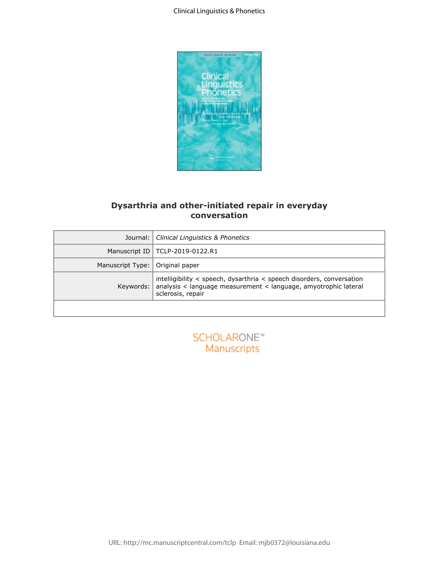

### **Dysarthria and other-initiated repair in everyday conversation**

| <b>Configuration</b><br>Dysarthria and other-initiated repair in everyday<br>conversation                                                                     |
|---------------------------------------------------------------------------------------------------------------------------------------------------------------|
| Clinical Linguistics & Phonetics                                                                                                                              |
| TCLP-2019-0122.R1                                                                                                                                             |
| Manuscript Type:  <br>Original paper                                                                                                                          |
| intelligibility < speech, dysarthria < speech disorders, conversation<br>analysis < language measurement < language, amyotrophic lateral<br>sclerosis, repair |
|                                                                                                                                                               |
| <b>SCHOLARONE™</b><br>Manuscripts                                                                                                                             |
|                                                                                                                                                               |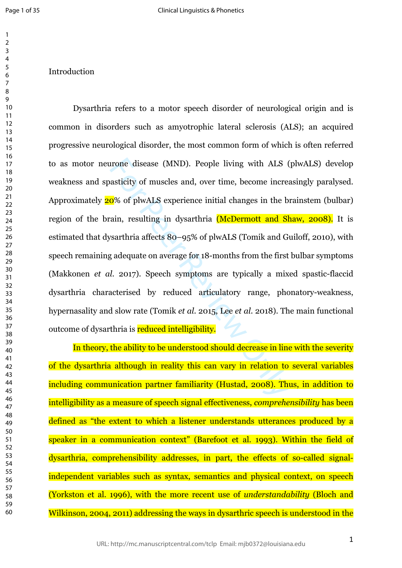$\mathbf{1}$  $\overline{2}$  $\overline{3}$  $\overline{4}$  $\overline{7}$ 

#### Introduction

prone disease (MND). People living with ALS (asticity of muscles and, over time, become incre<br>asticity of muscles and, over time, become incre<br> $\frac{1}{2}$  of plwALS experience initial changes in the b<br>ain, resulting in dysa Dysarthria refers to a motor speech disorder of neurological origin and is common in disorders such as amyotrophic lateral sclerosis (ALS); an acquired progressive neurological disorder, the most common form of which is often referred to as motor neurone disease (MND). People living with ALS (plwALS) develop weakness and spasticity of muscles and, over time, become increasingly paralysed. Approximately 20% of plwALS experience initial changes in the brainstem (bulbar) region of the brain, resulting in dysarthria (McDermott and Shaw, 2008). It is estimated that dysarthria affects 80–95% of plwALS (Tomik and Guiloff, 2010), with speech remaining adequate on average for 18-months from the first bulbar symptoms (Makkonen *et al*. 2017). Speech symptoms are typically a mixed spastic-flaccid dysarthria characterised by reduced articulatory range, phonatory-weakness, hypernasality and slow rate (Tomik *et al*. 2015, Lee *et al.* 2018). The main functional outcome of dysarthria is **reduced intelligibility.** 

In theory, the ability to be understood should decrease in line with the severity of the dysarthria although in reality this can vary in relation to several variables including communication partner familiarity (Hustad, 2008). Thus, in addition to intelligibility as a measure of speech signal effectiveness, *comprehensibility* has been defined as "the extent to which a listener understands utterances produced by a speaker in a communication context" (Barefoot et al. 1993). Within the field of dysarthria, comprehensibility addresses, in part, the effects of so-called signalindependent variables such as syntax, semantics and physical context, on speech (Yorkston et al. 1996), with the more recent use of *understandability* (Bloch and Wilkinson, 2004, 2011) addressing the ways in dysarthric speech is understood in the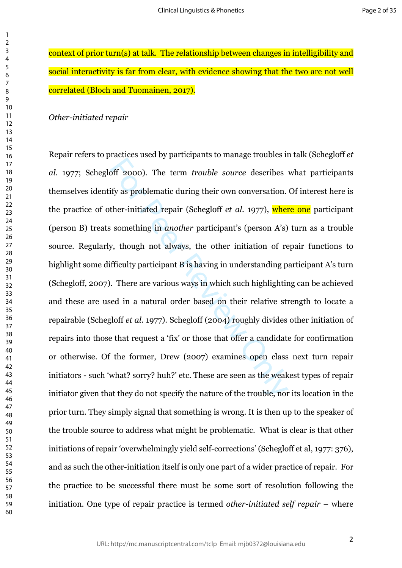context of prior turn(s) at talk. The relationship between changes in intelligibility and social interactivity is far from clear, with evidence showing that the two are not well correlated (Bloch and Tuomainen, 2017).

*Other-initiated repair*

off 2000). The term *trouble source* describes<br>ify as problematic during their own conversation.<br>ther-initiated repair (Schegloff *et al.* 1977), when<br>something in *another* participant's (person A's)<br>y, though not always Repair refers to practices used by participants to manage troubles in talk (Schegloff *et al.* 1977; Schegloff 2000). The term *trouble source* describes what participants themselves identify as problematic during their own conversation. Of interest here is the practice of other-initiated repair (Schegloff *et al.* 1977), where one participant (person B) treats something in *another* participant's (person A's) turn as a trouble source. Regularly, though not always, the other initiation of repair functions to highlight some difficulty participant B is having in understanding participant A's turn (Schegloff, 2007). There are various ways in which such highlighting can be achieved and these are used in a natural order based on their relative strength to locate a repairable (Schegloff *et al.* 1977). Schegloff (2004) roughly divides other initiation of repairs into those that request a 'fix' or those that offer a candidate for confirmation or otherwise. Of the former, Drew (2007) examines open class next turn repair initiators - such 'what? sorry? huh?' etc. These are seen as the weakest types of repair initiator given that they do not specify the nature of the trouble, nor its location in the prior turn. They simply signal that something is wrong. It is then up to the speaker of the trouble source to address what might be problematic. What is clear is that other initiations of repair 'overwhelmingly yield self-corrections' (Schegloff et al, 1977: 376), and as such the other-initiation itself is only one part of a wider practice of repair. For the practice to be successful there must be some sort of resolution following the initiation. One type of repair practice is termed *other-initiated self repair* – where

 $\mathbf{1}$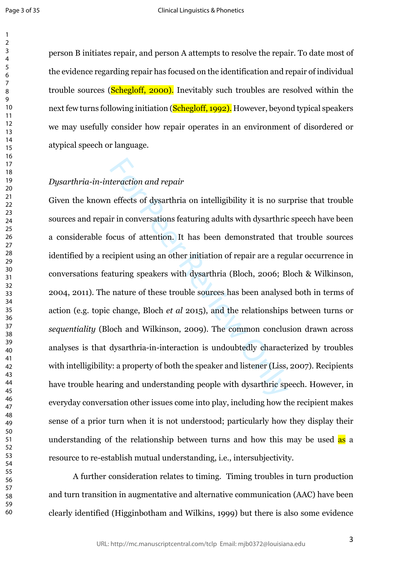$\mathbf{1}$  $\overline{2}$ 

person B initiates repair, and person A attempts to resolve the repair. To date most of the evidence regarding repair has focused on the identification and repair of individual trouble sources (Schegloff, 2000). Inevitably such troubles are resolved within the next few turns following initiation (**Schegloff, 1992**). However, beyond typical speakers we may usefully consider how repair operates in an environment of disordered or atypical speech or language.

## *Dysarthria-in-interaction and repair*

teraction and repair<br>
effects of dysarthria on intelligibility it is no sure<br>
ir in conversations featuring adults with dysarthric<br>
cocus of attention. It has been demonstrated tha<br>
cipient using an other initiation of rep Given the known effects of dysarthria on intelligibility it is no surprise that trouble sources and repair in conversations featuring adults with dysarthric speech have been a considerable focus of attention. It has been demonstrated that trouble sources identified by a recipient using an other initiation of repair are a regular occurrence in conversations featuring speakers with dysarthria (Bloch, 2006; Bloch & Wilkinson, 2004, 2011). The nature of these trouble sources has been analysed both in terms of action (e.g. topic change, Bloch *et al* 2015), and the relationships between turns or *sequentiality* (Bloch and Wilkinson, 2009). The common conclusion drawn across analyses is that dysarthria-in-interaction is undoubtedly characterized by troubles with intelligibility: a property of both the speaker and listener (Liss, 2007). Recipients have trouble hearing and understanding people with dysarthric speech. However, in everyday conversation other issues come into play, including how the recipient makes sense of a prior turn when it is not understood; particularly how they display their understanding of the relationship between turns and how this may be used as a resource to re-establish mutual understanding, i.e., intersubjectivity.

A further consideration relates to timing. Timing troubles in turn production and turn transition in augmentative and alternative communication (AAC) have been clearly identified (Higginbotham and Wilkins, 1999) but there is also some evidence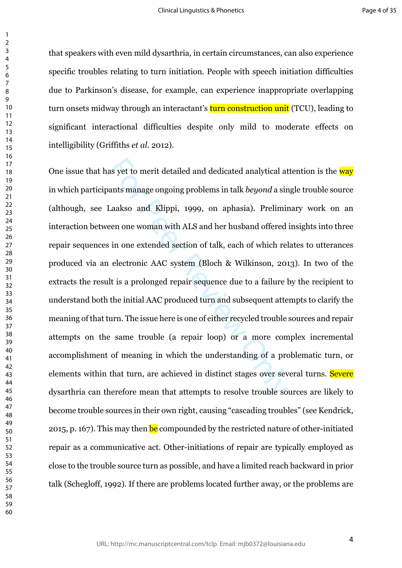that speakers with even mild dysarthria, in certain circumstances, can also experience specific troubles relating to turn initiation. People with speech initiation difficulties due to Parkinson's disease, for example, can experience inappropriate overlapping turn onsets midway through an interactant's **turn construction unit** (TCU), leading to significant interactional difficulties despite only mild to moderate effects on intelligibility (Griffiths *et al.* 2012).

is yet to merit detailed and dedicated analytical at<br>ants manage ongoing problems in talk *beyond* a sir<br>aakso and Klippi, 1999, on aphasia). Prelimin<br>een one woman with ALS and her husband offered<br>in one extended section One issue that has yet to merit detailed and dedicated analytical attention is the way in which participants manage ongoing problems in talk *beyond* a single trouble source (although, see Laakso and Klippi, 1999, on aphasia). Preliminary work on an interaction between one woman with ALS and her husband offered insights into three repair sequences in one extended section of talk, each of which relates to utterances produced via an electronic AAC system (Bloch & Wilkinson, 2013). In two of the extracts the result is a prolonged repair sequence due to a failure by the recipient to understand both the initial AAC produced turn and subsequent attempts to clarify the meaning of that turn. The issue here is one of either recycled trouble sources and repair attempts on the same trouble (a repair loop) or a more complex incremental accomplishment of meaning in which the understanding of a problematic turn, or elements within that turn, are achieved in distinct stages over several turns. Severe dysarthria can therefore mean that attempts to resolve trouble sources are likely to become trouble sources in their own right, causing "cascading troubles" (see Kendrick, 2015, p. 167). This may then be compounded by the restricted nature of other-initiated repair as a communicative act. Other-initiations of repair are typically employed as close to the trouble source turn as possible, and have a limited reach backward in prior talk (Schegloff, 1992). If there are problems located further away, or the problems are

 $\mathbf{1}$  $\overline{2}$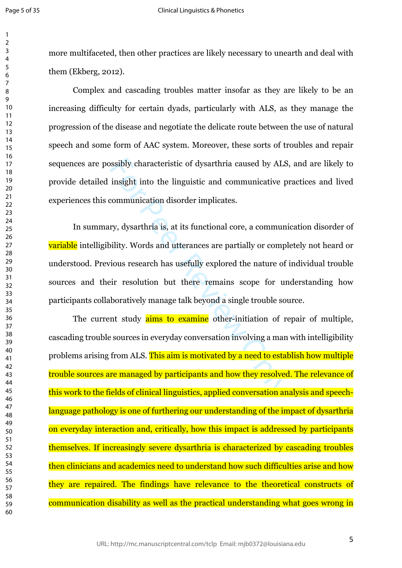$\mathbf{1}$  $\overline{2}$  $\overline{3}$  $\overline{4}$  $\overline{7}$ 

more multifaceted, then other practices are likely necessary to unearth and deal with them (Ekberg, 2012).

Complex and cascading troubles matter insofar as they are likely to be an increasing difficulty for certain dyads, particularly with ALS, as they manage the progression of the disease and negotiate the delicate route between the use of natural speech and some form of AAC system. Moreover, these sorts of troubles and repair sequences are possibly characteristic of dysarthria caused by ALS, and are likely to provide detailed insight into the linguistic and communicative practices and lived experiences this communication disorder implicates.

In summary, dysarthria is, at its functional core, a communication disorder of variable intelligibility. Words and utterances are partially or completely not heard or understood. Previous research has usefully explored the nature of individual trouble sources and their resolution but there remains scope for understanding how participants collaboratively manage talk beyond a single trouble source.

ssibly characteristic of dysarthria caused by ALS<br>insight into the linguistic and communicative p<br>communication disorder implicates.<br>ry, dysarthria is, at its functional core, a communi<br>bility. Words and utterances are par The current study **aims to examine** other-initiation of repair of multiple, cascading trouble sources in everyday conversation involving a man with intelligibility problems arising from ALS. This aim is motivated by a need to establish how multiple trouble sources are managed by participants and how they resolved. The relevance of this work to the fields of clinical linguistics, applied conversation analysis and speechlanguage pathology is one of furthering our understanding of the impact of dysarthria on everyday interaction and, critically, how this impact is addressed by participants themselves. If increasingly severe dysarthria is characterized by cascading troubles then clinicians and academics need to understand how such difficulties arise and how they are repaired. The findings have relevance to the theoretical constructs of communication disability as well as the practical understanding what goes wrong in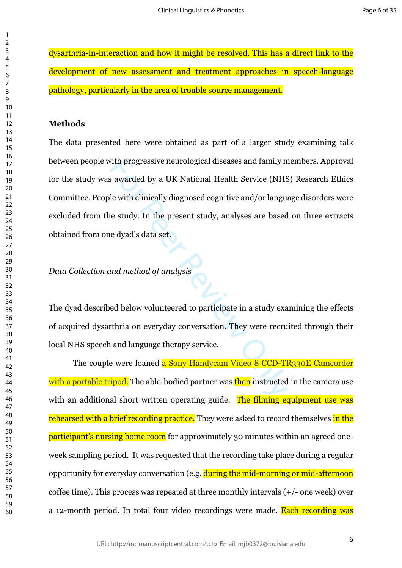dysarthria-in-interaction and how it might be resolved. This has a direct link to the development of new assessment and treatment approaches in speech-language pathology, particularly in the area of trouble source management.

#### **Methods**

ith progressive neurological diseases and family m<br>s awarded by a UK National Health Service (NHS<br>le with clinically diagnosed cognitive and/or langua<br>ne study. In the present study, analyses are based<br>edyad's data set.<br>an The data presented here were obtained as part of a larger study examining talk between people with progressive neurological diseases and family members. Approval for the study was awarded by a UK National Health Service (NHS) Research Ethics Committee. People with clinically diagnosed cognitive and/or language disorders were excluded from the study. In the present study, analyses are based on three extracts obtained from one dyad's data set.

*Data Collection and method of analysis*

The dyad described below volunteered to participate in a study examining the effects of acquired dysarthria on everyday conversation. They were recruited through their local NHS speech and language therapy service.

The couple were loaned a Sony Handycam Video 8 CCD-TR330E Camcorder with a portable tripod. The able-bodied partner was then instructed in the camera use with an additional short written operating guide. The filming equipment use was rehearsed with a brief recording practice. They were asked to record themselves in the participant's nursing home room for approximately 30 minutes within an agreed oneweek sampling period. It was requested that the recording take place during a regular opportunity for everyday conversation (e.g. during the mid-morning or mid-afternoon coffee time). This process was repeated at three monthly intervals (+/- one week) over a 12-month period. In total four video recordings were made. Each recording was

 $\mathbf{1}$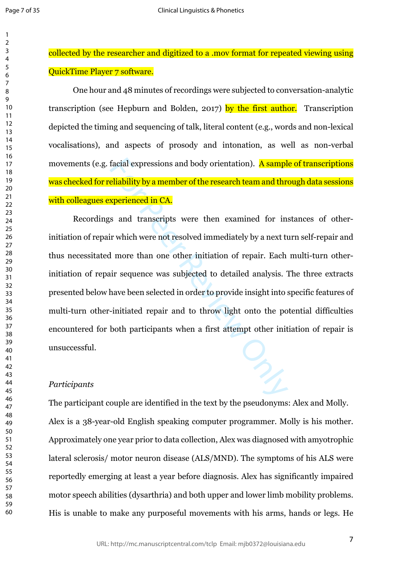$\mathbf{1}$ 

#### $\overline{2}$  $\overline{3}$  $\overline{4}$  $\overline{7}$

# collected by the researcher and digitized to a .mov format for repeated viewing using QuickTime Player 7 software.

One hour and 48 minutes of recordings were subjected to conversation-analytic transcription (see Hepburn and Bolden, 2017) by the first author. Transcription depicted the timing and sequencing of talk, literal content (e.g., words and non-lexical vocalisations), and aspects of prosody and intonation, as well as non-verbal movements (e.g. facial expressions and body orientation). A sample of transcriptions was checked for reliability by a member of the research team and through data sessions with colleagues experienced in CA.

facial expressions and body orientation). A sample<br>
eliability by a member of the research team and three<br>
specienced in CA.<br>
s and transcripts were then examined for in:<br>
ir which were not resolved immediately by a next t Recordings and transcripts were then examined for instances of otherinitiation of repair which were not resolved immediately by a next turn self-repair and thus necessitated more than one other initiation of repair. Each multi-turn otherinitiation of repair sequence was subjected to detailed analysis. The three extracts presented below have been selected in order to provide insight into specific features of multi-turn other-initiated repair and to throw light onto the potential difficulties encountered for both participants when a first attempt other initiation of repair is unsuccessful.

#### *Participants*

The participant couple are identified in the text by the pseudonyms: Alex and Molly. Alex is a 38-year-old English speaking computer programmer. Molly is his mother. Approximately one year prior to data collection, Alex was diagnosed with amyotrophic lateral sclerosis/ motor neuron disease (ALS/MND). The symptoms of his ALS were reportedly emerging at least a year before diagnosis. Alex has significantly impaired motor speech abilities (dysarthria) and both upper and lower limb mobility problems. His is unable to make any purposeful movements with his arms, hands or legs. He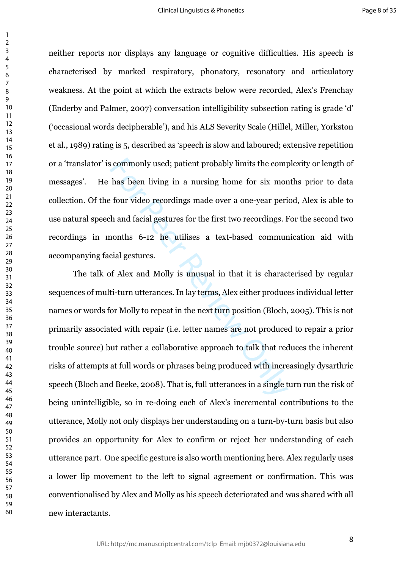$\mathbf{1}$  $\overline{2}$  $\overline{3}$  $\overline{4}$  $\overline{7}$ 

neither reports nor displays any language or cognitive difficulties. His speech is characterised by marked respiratory, phonatory, resonatory and articulatory weakness. At the point at which the extracts below were recorded, Alex's Frenchay (Enderby and Palmer, 2007) conversation intelligibility subsection rating is grade 'd' ('occasional words decipherable'), and his ALS Severity Scale (Hillel, Miller, Yorkston et al., 1989) rating is 5, described as 'speech is slow and laboured; extensive repetition or a 'translator' is commonly used; patient probably limits the complexity or length of messages'. He has been living in a nursing home for six months prior to data collection. Of the four video recordings made over a one-year period, Alex is able to use natural speech and facial gestures for the first two recordings. For the second two recordings in months 6-12 he utilises a text-based communication aid with accompanying facial gestures.

is commonly used; patient probably limits the comparations has been living in a nursing home for six more four video recordings made over a one-year perior four video recordings made over a one-year perior hand facial gest The talk of Alex and Molly is unusual in that it is characterised by regular sequences of multi-turn utterances. In lay terms, Alex either produces individual letter names or words for Molly to repeat in the next turn position (Bloch, 2005). This is not primarily associated with repair (i.e. letter names are not produced to repair a prior trouble source) but rather a collaborative approach to talk that reduces the inherent risks of attempts at full words or phrases being produced with increasingly dysarthric speech (Bloch and Beeke, 2008). That is, full utterances in a single turn run the risk of being unintelligible, so in re-doing each of Alex's incremental contributions to the utterance, Molly not only displays her understanding on a turn-by-turn basis but also provides an opportunity for Alex to confirm or reject her understanding of each utterance part. One specific gesture is also worth mentioning here. Alex regularly uses a lower lip movement to the left to signal agreement or confirmation. This was conventionalised by Alex and Molly as his speech deteriorated and was shared with all new interactants.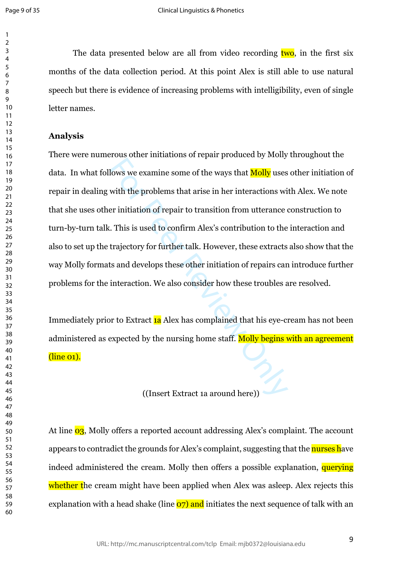$\mathbf{1}$  $\overline{2}$  $\overline{3}$  $\overline{4}$  $\overline{7}$ 

The data presented below are all from video recording two, in the first six months of the data collection period. At this point Alex is still able to use natural speech but there is evidence of increasing problems with intelligibility, even of single letter names.

#### **Analysis**

lows we examine some of the ways that  $\overline{\text{Molly}}$  uses<br>with the problems that arise in her interactions wi<br>er initiation of repair to transition from utterance  $\overline{C}$ . This is used to confirm Alex's contribution to the<br> There were numerous other initiations of repair produced by Molly throughout the data. In what follows we examine some of the ways that **Molly** uses other initiation of repair in dealing with the problems that arise in her interactions with Alex. We note that she uses other initiation of repair to transition from utterance construction to turn-by-turn talk. This is used to confirm Alex's contribution to the interaction and also to set up the trajectory for further talk. However, these extracts also show that the way Molly formats and develops these other initiation of repairs can introduce further problems for the interaction. We also consider how these troubles are resolved.

Immediately prior to Extract **1a** Alex has complained that his eye-cream has not been administered as expected by the nursing home staff. Molly begins with an agreement (line 01). ((Insert Extract 1a around here))

At line  $\alpha_3$ , Molly offers a reported account addressing Alex's complaint. The account appears to contradict the grounds for Alex's complaint, suggesting that the nurses have indeed administered the cream. Molly then offers a possible explanation, querying whether the cream might have been applied when Alex was asleep. Alex rejects this explanation with a head shake (line  $\sigma$ ) and initiates the next sequence of talk with an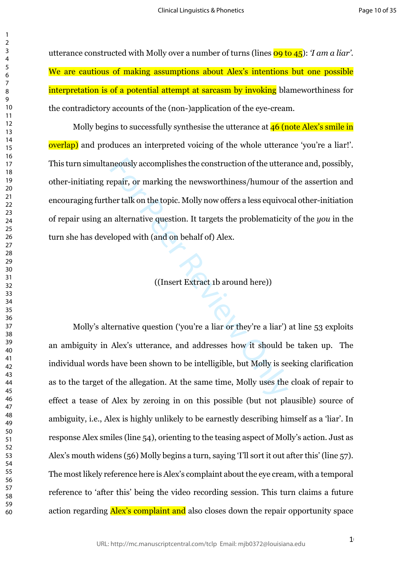utterance constructed with Molly over a number of turns (lines 09 to 45): *'I am a liar'*. We are cautious of making assumptions about Alex's intentions but one possible interpretation is of a potential attempt at sarcasm by invoking blameworthiness for the contradictory accounts of the (non-)application of the eye-cream.

neously accomplishes the construction of the utteraction, or marking the newsworthiness/humour of<br>ner talk on the topic. Molly now offers a less equivod<br>nation and the topic. Molly now offers a less equivod<br>nation and the Molly begins to successfully synthesise the utterance at (note Alex's smile in overlap) and produces an interpreted voicing of the whole utterance 'you're a liar!'. This turn simultaneously accomplishes the construction of the utterance and, possibly, other-initiating repair, or marking the newsworthiness/humour of the assertion and encouraging further talk on the topic. Molly now offers a less equivocal other-initiation of repair using an alternative question. It targets the problematicity of the *you* in the turn she has developed with (and on behalf of) Alex.

((Insert Extract 1b around here))

Molly's alternative question ('you're a liar or they're a liar') at line 53 exploits an ambiguity in Alex's utterance, and addresses how it should be taken up. The individual words have been shown to be intelligible, but Molly is seeking clarification as to the target of the allegation. At the same time, Molly uses the cloak of repair to effect a tease of Alex by zeroing in on this possible (but not plausible) source of ambiguity, i.e., Alex is highly unlikely to be earnestly describing himself as a 'liar'. In response Alex smiles (line 54), orienting to the teasing aspect of Molly's action. Just as Alex's mouth widens (56) Molly begins a turn, saying 'I'll sort it out after this' (line 57). The most likely reference here is Alex's complaint about the eye cream, with a temporal reference to 'after this' being the video recording session. This turn claims a future action regarding **Alex's complaint and** also closes down the repair opportunity space

 $\mathbf{1}$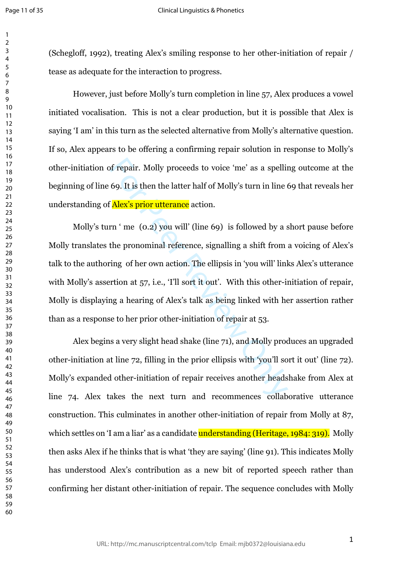$\mathbf{1}$  $\overline{2}$  $\overline{4}$  $\overline{7}$ 

(Schegloff, 1992), treating Alex's smiling response to her other-initiation of repair / tease as adequate for the interaction to progress.

However, just before Molly's turn completion in line 57, Alex produces a vowel initiated vocalisation. This is not a clear production, but it is possible that Alex is saying 'I am' in this turn as the selected alternative from Molly's alternative question. If so, Alex appears to be offering a confirming repair solution in response to Molly's other-initiation of repair. Molly proceeds to voice 'me' as a spelling outcome at the beginning of line 69. It is then the latter half of Molly's turn in line 69 that reveals her understanding of **Alex's prior utterance** action.

of repair. Molly proceeds to voice 'me' as a spellinfog. It is then the latter half of Molly's turn in line to  $\overline{\text{Alex's prior utterance}}$  action.<br>
The 'meer (0.2) you will' (line 69) is followed by a state pronominal reference, signal Molly's turn ' me (0.2) you will' (line 69) is followed by a short pause before Molly translates the pronominal reference, signalling a shift from a voicing of Alex's talk to the authoring of her own action. The ellipsis in 'you will' links Alex's utterance with Molly's assertion at 57, i.e., 'I'll sort it out'. With this other-initiation of repair, Molly is displaying a hearing of Alex's talk as being linked with her assertion rather than as a response to her prior other-initiation of repair at 53.

Alex begins a very slight head shake (line 71), and Molly produces an upgraded other-initiation at line 72, filling in the prior ellipsis with 'you'll sort it out' (line 72). Molly's expanded other-initiation of repair receives another headshake from Alex at line 74. Alex takes the next turn and recommences collaborative utterance construction. This culminates in another other-initiation of repair from Molly at 87, which settles on 'I am a liar' as a candidate understanding (Heritage, 1984; 319). Molly then asks Alex if he thinks that is what 'they are saying' (line 91). This indicates Molly has understood Alex's contribution as a new bit of reported speech rather than confirming her distant other-initiation of repair. The sequence concludes with Molly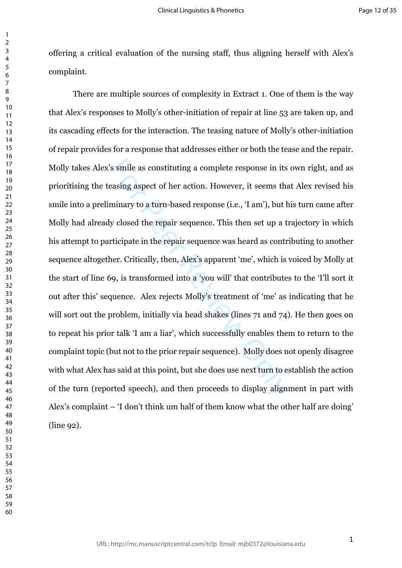offering a critical evaluation of the nursing staff, thus aligning herself with Alex's complaint.

is smile as constituting a complete response in its<br>easing aspect of her action. However, it seems the<br>minary to a turn-based response (i.e., 'I am'), but h<br>y closed the repair sequence. This then set up a t<br>rticipate in t There are multiple sources of complexity in Extract 1. One of them is the way that Alex's responses to Molly's other-initiation of repair at line 53 are taken up, and its cascading effects for the interaction. The teasing nature of Molly's other-initiation of repair provides for a response that addresses either or both the tease and the repair. Molly takes Alex's smile as constituting a complete response in its own right, and as prioritising the teasing aspect of her action. However, it seems that Alex revised his smile into a preliminary to a turn-based response (i.e., 'I am'), but his turn came after Molly had already closed the repair sequence. This then set up a trajectory in which his attempt to participate in the repair sequence was heard as contributing to another sequence altogether. Critically, then, Alex's apparent 'me', which is voiced by Molly at the start of line 69, is transformed into a 'you will' that contributes to the 'I'll sort it out after this' sequence. Alex rejects Molly's treatment of 'me' as indicating that he will sort out the problem, initially via head shakes (lines 71 and 74). He then goes on to repeat his prior talk 'I am a liar', which successfully enables them to return to the complaint topic (but not to the prior repair sequence). Molly does not openly disagree with what Alex has said at this point, but she does use next turn to establish the action of the turn (reported speech), and then proceeds to display alignment in part with Alex's complaint – 'I don't think um half of them know what the other half are doing' (line 92).

 $\mathbf{1}$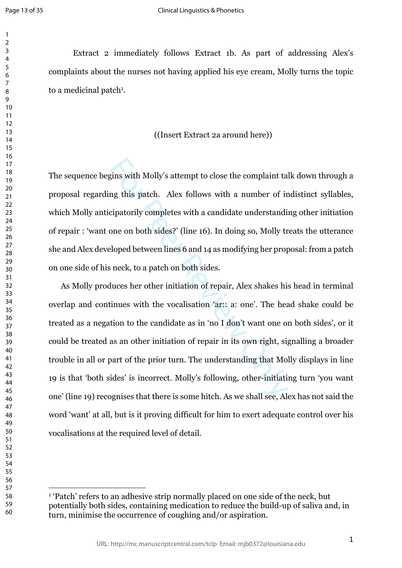Page 13 of 35

 $\mathbf{1}$  $\overline{2}$  $\overline{3}$  $\overline{4}$  $\overline{7}$ 

Extract 2 immediately follows Extract 1b. As part of addressing Alex's complaints about the nurses not having applied his eye cream, Molly turns the topic to a medicinal patch<sup>1</sup>.

((Insert Extract 2a around here))

The sequence begins with Molly's attempt to close the complaint talk down through a proposal regarding this patch. Alex follows with a number of indistinct syllables, which Molly anticipatorily completes with a candidate understanding other initiation of repair : 'want one on both sides?' (line 16). In doing so, Molly treats the utterance she and Alex developed between lines 6 and 14 as modifying her proposal: from a patch on one side of his neck, to a patch on both sides.

gins with Molly's attempt to close the complaint ta<br>mg this patch. Alex follows with a number of ir<br>cipatorily completes with a candidate understandi<br>one on both sides?' (line 16). In doing so, Molly tr<br>eloped between line As Molly produces her other initiation of repair, Alex shakes his head in terminal overlap and continues with the vocalisation 'ar:: a: one'. The head shake could be treated as a negation to the candidate as in 'no I don't want one on both sides', or it could be treated as an other initiation of repair in its own right, signalling a broader trouble in all or part of the prior turn. The understanding that Molly displays in line 19 is that 'both sides' is incorrect. Molly's following, other-initiating turn 'you want one' (line 19) recognises that there is some hitch. As we shall see, Alex has not said the word 'want' at all, but is it proving difficult for him to exert adequate control over his vocalisations at the required level of detail.

<sup>&</sup>lt;sup>1</sup> 'Patch' refers to an adhesive strip normally placed on one side of the neck, but potentially both sides, containing medication to reduce the build-up of saliva and, in turn, minimise the occurrence of coughing and/or aspiration.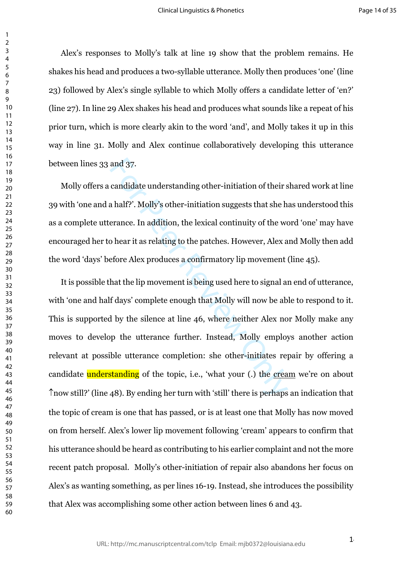Alex's responses to Molly's talk at line 19 show that the problem remains. He shakes his head and produces a two-syllable utterance. Molly then produces 'one' (line 23) followed by Alex's single syllable to which Molly offers a candidate letter of 'en?' (line 27). In line 29 Alex shakes his head and produces what sounds like a repeat of his prior turn, which is more clearly akin to the word 'and', and Molly takes it up in this way in line 31. Molly and Alex continue collaboratively developing this utterance between lines 33 and 37.

Molly offers a candidate understanding other-initiation of their shared work at line 39 with 'one and a half?'. Molly's other-initiation suggests that she has understood this as a complete utterance. In addition, the lexical continuity of the word 'one' may have encouraged her to hear it as relating to the patches. However, Alex and Molly then add the word 'days' before Alex produces a confirmatory lip movement (line 45).

and 37.<br>
candidate understanding other-initiation of their s<br>
a half?'. Molly's other-initiation suggests that she h<br>
erance. In addition, the lexical continuity of the we<br>
b hear it as relating to the patches. However, Al It is possible that the lip movement is being used here to signal an end of utterance, with 'one and half days' complete enough that Molly will now be able to respond to it. This is supported by the silence at line 46, where neither Alex nor Molly make any moves to develop the utterance further. Instead, Molly employs another action relevant at possible utterance completion: she other-initiates repair by offering a candidate understanding of the topic, i.e., 'what your (.) the cream we're on about now still?' (line 48). By ending her turn with 'still' there is perhaps an indication that the topic of cream is one that has passed, or is at least one that Molly has now moved on from herself. Alex's lower lip movement following 'cream' appears to confirm that his utterance should be heard as contributing to his earlier complaint and not the more recent patch proposal. Molly's other-initiation of repair also abandons her focus on Alex's as wanting something, as per lines 16-19. Instead, she introduces the possibility that Alex was accomplishing some other action between lines 6 and 43.

 $\mathbf{1}$  $\overline{2}$  $\overline{3}$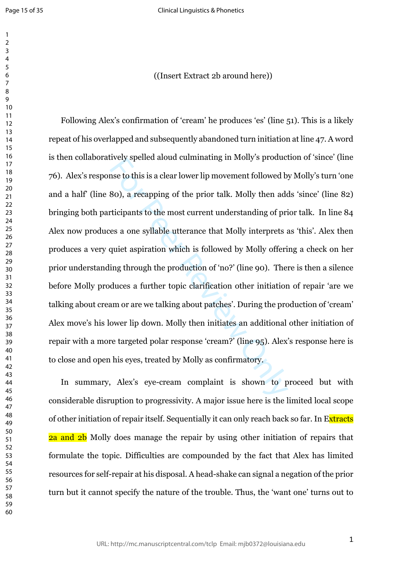$\mathbf{1}$ 

> 

((Insert Extract 2b around here))

reey spened aloud cummating in mony's product<br>abso to this is a clear lower lip movement followed by<br>80), a recapping of the prior talk. Molly then add<br>ticipants to the most current understanding of pri<br>es a one syllable u Following Alex's confirmation of 'cream' he produces 'es' (line 51). This is a likely repeat of his overlapped and subsequently abandoned turn initiation at line 47. A word is then collaboratively spelled aloud culminating in Molly's production of 'since' (line 76). Alex's response to this is a clear lower lip movement followed by Molly's turn 'one and a half' (line 80), a recapping of the prior talk. Molly then adds 'since' (line 82) bringing both participants to the most current understanding of prior talk. In line 84 Alex now produces a one syllable utterance that Molly interprets as 'this'. Alex then produces a very quiet aspiration which is followed by Molly offering a check on her prior understanding through the production of 'no?' (line 90). There is then a silence before Molly produces a further topic clarification other initiation of repair 'are we talking about cream or are we talking about patches'. During the production of 'cream' Alex move's his lower lip down. Molly then initiates an additional other initiation of repair with a more targeted polar response 'cream?' (line 95). Alex's response here is to close and open his eyes, treated by Molly as confirmatory.

In summary, Alex's eye-cream complaint is shown to proceed but with considerable disruption to progressivity. A major issue here is the limited local scope of other initiation of repair itself. Sequentially it can only reach back so far. In Extracts **2a and 2b** Molly does manage the repair by using other initiation of repairs that formulate the topic. Difficulties are compounded by the fact that Alex has limited resources for self-repair at his disposal. A head-shake can signal a negation of the prior turn but it cannot specify the nature of the trouble. Thus, the 'want one' turns out to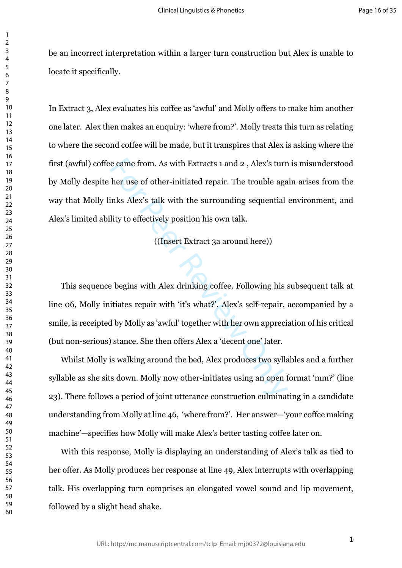be an incorrect interpretation within a larger turn construction but Alex is unable to locate it specifically.

 $\mathbf{1}$  $\overline{2}$  $\overline{3}$  $\overline{4}$  $\overline{7}$ 

e came from. As with Extracts 1 and 2 , Alex's turn<br>her use of other-initiated repair. The trouble aga<br>inks Alex's talk with the surrounding sequential<br>lity to effectively position his own talk.<br>((Insert Extract 3a around In Extract 3, Alex evaluates his coffee as 'awful' and Molly offers to make him another one later. Alex then makes an enquiry: 'where from?'. Molly treats this turn as relating to where the second coffee will be made, but it transpires that Alex is asking where the first (awful) coffee came from. As with Extracts 1 and 2 , Alex's turn is misunderstood by Molly despite her use of other-initiated repair. The trouble again arises from the way that Molly links Alex's talk with the surrounding sequential environment, and Alex's limited ability to effectively position his own talk.

((Insert Extract 3a around here))

This sequence begins with Alex drinking coffee. Following his subsequent talk at line 06, Molly initiates repair with 'it's what?'. Alex's self-repair, accompanied by a smile, is receipted by Molly as 'awful' together with her own appreciation of his critical (but non-serious) stance. She then offers Alex a 'decent one' later.

Whilst Molly is walking around the bed, Alex produces two syllables and a further syllable as she sits down. Molly now other-initiates using an open format 'mm?' (line 23). There follows a period of joint utterance construction culminating in a candidate understanding from Molly at line 46, 'where from?'. Her answer—'your coffee making machine'—specifies how Molly will make Alex's better tasting coffee later on.

With this response, Molly is displaying an understanding of Alex's talk as tied to her offer. As Molly produces her response at line 49, Alex interrupts with overlapping talk. His overlapping turn comprises an elongated vowel sound and lip movement, followed by a slight head shake.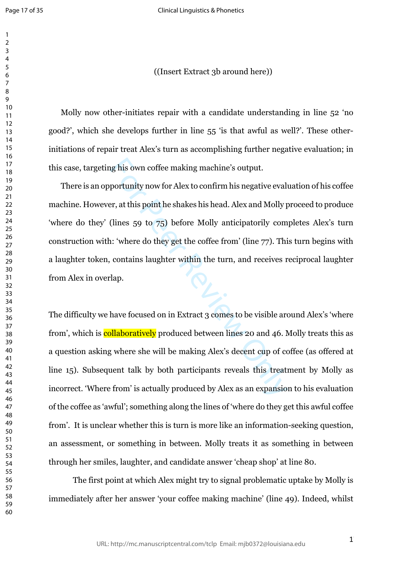$\mathbf{1}$  $\overline{2}$  $\overline{3}$  $\overline{4}$  $\overline{7}$ 

((Insert Extract 3b around here))

Molly now other-initiates repair with a candidate understanding in line 52 'no good?', which she develops further in line 55 'is that awful as well?'. These otherinitiations of repair treat Alex's turn as accomplishing further negative evaluation; in this case, targeting his own coffee making machine's output.

ig his own coffee making machine's output.<br>
portunity now for Alex to confirm his negative evaluently and the shakes his head. Alex and Molly p<br>
(lines 59 to 75) before Molly anticipatorily com<br>
1: 'where do they get the c There is an opportunity now for Alex to confirm his negative evaluation of his coffee machine. However, at this point he shakes his head. Alex and Molly proceed to produce 'where do they' (lines 59 to 75) before Molly anticipatorily completes Alex's turn construction with: 'where do they get the coffee from' (line 77). This turn begins with a laughter token, contains laughter within the turn, and receives reciprocal laughter from Alex in overlap.

The difficulty we have focused on in Extract 3 comes to be visible around Alex's 'where from', which is **collaboratively** produced between lines 20 and 46. Molly treats this as a question asking where she will be making Alex's decent cup of coffee (as offered at line 15). Subsequent talk by both participants reveals this treatment by Molly as incorrect. 'Where from' is actually produced by Alex as an expansion to his evaluation of the coffee as 'awful'; something along the lines of 'where do they get this awful coffee from'. It is unclear whether this is turn is more like an information-seeking question, an assessment, or something in between. Molly treats it as something in between through her smiles, laughter, and candidate answer 'cheap shop' at line 80.

The first point at which Alex might try to signal problematic uptake by Molly is immediately after her answer 'your coffee making machine' (line 49). Indeed, whilst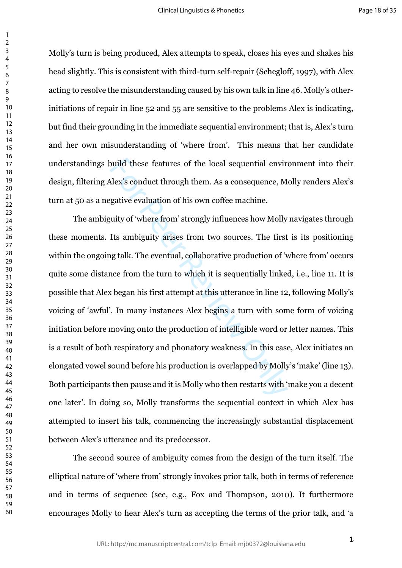$\mathbf{1}$  $\overline{2}$  $\overline{3}$  $\overline{4}$  $\overline{7}$ 

Molly's turn is being produced, Alex attempts to speak, closes his eyes and shakes his head slightly. This is consistent with third-turn self-repair (Schegloff, 1997), with Alex acting to resolve the misunderstanding caused by his own talk in line 46. Molly's otherinitiations of repair in line 52 and 55 are sensitive to the problems Alex is indicating, but find their grounding in the immediate sequential environment; that is, Alex's turn and her own misunderstanding of 'where from'. This means that her candidate understandings build these features of the local sequential environment into their design, filtering Alex's conduct through them. As a consequence, Molly renders Alex's turn at 50 as a negative evaluation of his own coffee machine.

build these features of the local sequential envirously the secular through them. As a consequence, Margative evaluation of his own coffee machine.<br>The particle evaluation of his own coffee machine.<br>The first ambiguity ari The ambiguity of 'where from' strongly influences how Molly navigates through these moments. Its ambiguity arises from two sources. The first is its positioning within the ongoing talk. The eventual, collaborative production of 'where from' occurs quite some distance from the turn to which it is sequentially linked, i.e., line 11. It is possible that Alex began his first attempt at this utterance in line 12, following Molly's voicing of 'awful'. In many instances Alex begins a turn with some form of voicing initiation before moving onto the production of intelligible word or letter names. This is a result of both respiratory and phonatory weakness. In this case, Alex initiates an elongated vowel sound before his production is overlapped by Molly's 'make' (line 13). Both participants then pause and it is Molly who then restarts with 'make you a decent one later'. In doing so, Molly transforms the sequential context in which Alex has attempted to insert his talk, commencing the increasingly substantial displacement between Alex's utterance and its predecessor.

The second source of ambiguity comes from the design of the turn itself. The elliptical nature of 'where from' strongly invokes prior talk, both in terms of reference and in terms of sequence (see, e.g., Fox and Thompson, 2010). It furthermore encourages Molly to hear Alex's turn as accepting the terms of the prior talk, and 'a

 $1<sub>6</sub>$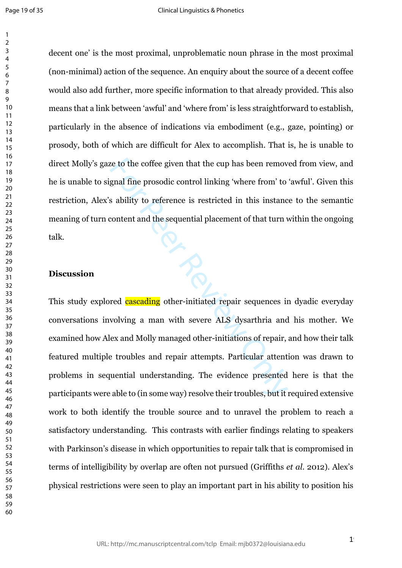$\mathbf{1}$  $\overline{2}$ 

decent one' is the most proximal, unproblematic noun phrase in the most proximal (non-minimal) action of the sequence. An enquiry about the source of a decent coffee would also add further, more specific information to that already provided. This also means that a link between 'awful' and 'where from' is less straightforward to establish, particularly in the absence of indications via embodiment (e.g., gaze, pointing) or prosody, both of which are difficult for Alex to accomplish. That is, he is unable to direct Molly's gaze to the coffee given that the cup has been removed from view, and he is unable to signal fine prosodic control linking 'where from' to 'awful'. Given this restriction, Alex's ability to reference is restricted in this instance to the semantic meaning of turn content and the sequential placement of that turn within the ongoing talk.

## **Discussion**

Example the coffee given that the cup has been remov<br>gnal fine prosodic control linking 'where from' to<br>s ability to reference is restricted in this instance<br>content and the sequential placement of that turn v<br>content and This study explored **cascading** other-initiated repair sequences in dyadic everyday conversations involving a man with severe ALS dysarthria and his mother. We examined how Alex and Molly managed other-initiations of repair, and how their talk featured multiple troubles and repair attempts. Particular attention was drawn to problems in sequential understanding. The evidence presented here is that the participants were able to (in some way) resolve their troubles, but it required extensive work to both identify the trouble source and to unravel the problem to reach a satisfactory understanding. This contrasts with earlier findings relating to speakers with Parkinson's disease in which opportunities to repair talk that is compromised in terms of intelligibility by overlap are often not pursued (Griffiths *et al*. 2012). Alex's physical restrictions were seen to play an important part in his ability to position his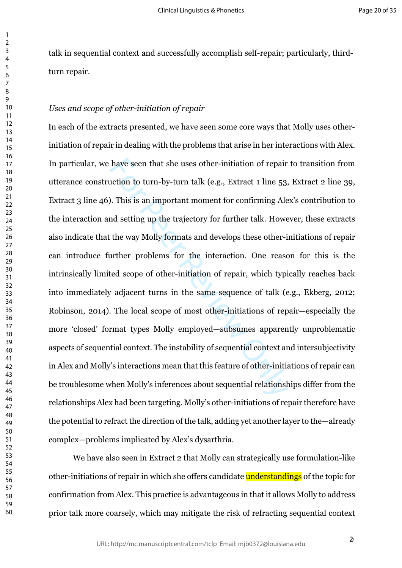talk in sequential context and successfully accomplish self-repair; particularly, thirdturn repair.

#### *Uses and scope of other-initiation of repair*

 $\mathbf{1}$  $\overline{2}$  $\overline{3}$  $\overline{4}$  $\overline{7}$ 

have seen that she uses other-initiation of repair<br>action to turn-by-turn talk (e.g., Extract 1 line 53,<br>9. This is an important moment for confirming Ale<br>and setting up the trajectory for further talk. Howe<br>the way Molly In each of the extracts presented, we have seen some core ways that Molly uses otherinitiation of repair in dealing with the problems that arise in her interactions with Alex. In particular, we have seen that she uses other-initiation of repair to transition from utterance construction to turn-by-turn talk (e.g., Extract 1 line 53, Extract 2 line 39, Extract 3 line 46). This is an important moment for confirming Alex's contribution to the interaction and setting up the trajectory for further talk. However, these extracts also indicate that the way Molly formats and develops these other-initiations of repair can introduce further problems for the interaction. One reason for this is the intrinsically limited scope of other-initiation of repair, which typically reaches back into immediately adjacent turns in the same sequence of talk (e.g., Ekberg, 2012; Robinson, 2014). The local scope of most other-initiations of repair—especially the more 'closed' format types Molly employed—subsumes apparently unproblematic aspects of sequential context. The instability of sequential context and intersubjectivity in Alex and Molly's interactions mean that this feature of other-initiations of repair can be troublesome when Molly's inferences about sequential relationships differ from the relationships Alex had been targeting. Molly's other-initiations of repair therefore have the potential to refract the direction of the talk, adding yet another layer to the—already complex—problems implicated by Alex's dysarthria.

We have also seen in Extract 2 that Molly can strategically use formulation-like other-initiations of repair in which she offers candidate understandings of the topic for confirmation from Alex. This practice is advantageous in that it allows Molly to address prior talk more coarsely, which may mitigate the risk of refracting sequential context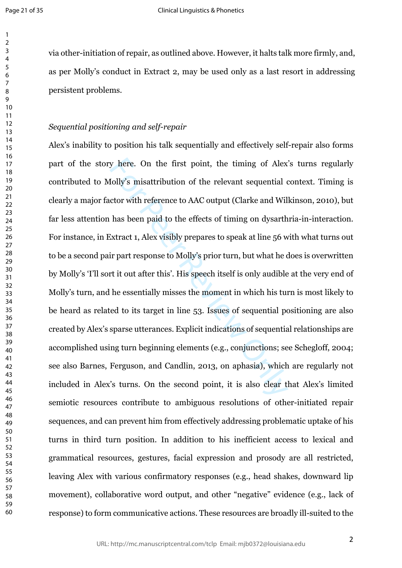$\mathbf{1}$  $\overline{2}$  $\overline{3}$  $\overline{4}$  $\overline{7}$ 

via other-initiation of repair, as outlined above. However, it halts talk more firmly, and, as per Molly's conduct in Extract 2, may be used only as a last resort in addressing persistent problems.

#### *Sequential positioning and self-repair*

be the first point, the timing of Alex<br>Iolly's misattribution of the relevant sequential correctively instribution of the relevant sequential corrective to the effects of timing on dysarth<br>
has been paid to the effects of Alex's inability to position his talk sequentially and effectively self-repair also forms part of the story here. On the first point, the timing of Alex's turns regularly contributed to Molly's misattribution of the relevant sequential context. Timing is clearly a major factor with reference to AAC output (Clarke and Wilkinson, 2010), but far less attention has been paid to the effects of timing on dysarthria-in-interaction. For instance, in Extract 1, Alex visibly prepares to speak at line 56 with what turns out to be a second pair part response to Molly's prior turn, but what he does is overwritten by Molly's 'I'll sort it out after this'. His speech itself is only audible at the very end of Molly's turn, and he essentially misses the moment in which his turn is most likely to be heard as related to its target in line 53. Issues of sequential positioning are also created by Alex's sparse utterances. Explicit indications of sequential relationships are accomplished using turn beginning elements (e.g., conjunctions; see Schegloff, 2004; see also Barnes, Ferguson, and Candlin, 2013, on aphasia), which are regularly not included in Alex's turns. On the second point, it is also clear that Alex's limited semiotic resources contribute to ambiguous resolutions of other-initiated repair sequences, and can prevent him from effectively addressing problematic uptake of his turns in third turn position. In addition to his inefficient access to lexical and grammatical resources, gestures, facial expression and prosody are all restricted, leaving Alex with various confirmatory responses (e.g., head shakes, downward lip movement), collaborative word output, and other "negative" evidence (e.g., lack of response) to form communicative actions. These resources are broadly ill-suited to the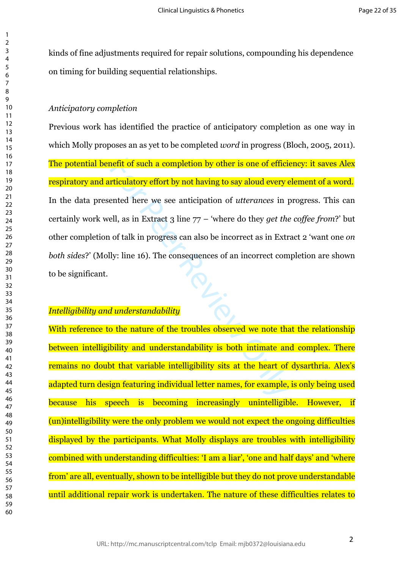kinds of fine adjustments required for repair solutions, compounding his dependence on timing for building sequential relationships.

#### *Anticipatory completion*

nefit of such a completion by other is one of efficing the entropy effort by not having to say aloud every ented here we see anticipation of *utterances* in pell, as in Extract 3 line 77 – 'where do they *get that* of talk Previous work has identified the practice of anticipatory completion as one way in which Molly proposes an as yet to be completed *word* in progress (Bloch, 2005, 2011). The potential benefit of such a completion by other is one of efficiency: it saves Alex respiratory and articulatory effort by not having to say aloud every element of a word. In the data presented here we see anticipation of *utterances* in progress. This can certainly work well, as in Extract 3 line 77 – 'where do they *get the coffee from*?' but other completion of talk in progress can also be incorrect as in Extract 2 'want one *on both sides*?' (Molly: line 16). The consequences of an incorrect completion are shown to be significant.

#### *Intelligibility and understandability*

With reference to the nature of the troubles observed we note that the relationship between intelligibility and understandability is both intimate and complex. There remains no doubt that variable intelligibility sits at the heart of dysarthria. Alex's adapted turn design featuring individual letter names, for example, is only being used because his speech is becoming increasingly unintelligible. However, if (un)intelligibility were the only problem we would not expect the ongoing difficulties displayed by the participants. What Molly displays are troubles with intelligibility combined with understanding difficulties: 'I am a liar', 'one and half days' and 'where from' are all, eventually, shown to be intelligible but they do not prove understandable until additional repair work is undertaken. The nature of these difficulties relates to

 $\mathbf{1}$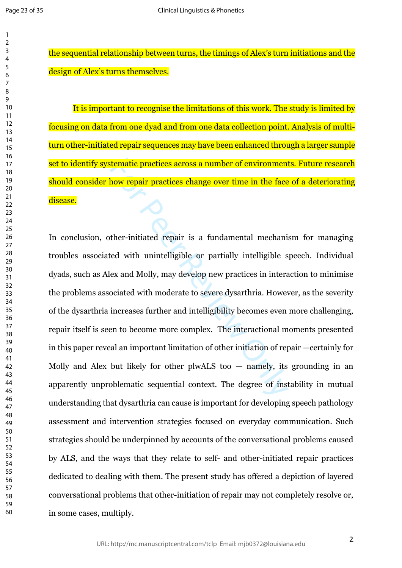$\mathbf{1}$  $\overline{2}$  $\overline{3}$  $\overline{4}$  $\overline{7}$ 

the sequential relationship between turns, the timings of Alex's turn initiations and the design of Alex's turns themselves.

It is important to recognise the limitations of this work. The study is limited by focusing on data from one dyad and from one data collection point. Analysis of multiturn other-initiated repair sequences may have been enhanced through a larger sample set to identify systematic practices across a number of environments. Future research should consider how repair practices change over time in the face of a deteriorating disease.

**Example 12 Example 12 Example 12 Example 12 Example 10 Example 10 Example 10 Example 10 Example 10 Example 10 Example 10 Example 10 Example 10 Example 10 Example 10 Example 10 Example 11 Example 12 Example 11 Example 12 E** In conclusion, other-initiated repair is a fundamental mechanism for managing troubles associated with unintelligible or partially intelligible speech. Individual dyads, such as Alex and Molly, may develop new practices in interaction to minimise the problems associated with moderate to severe dysarthria. However, as the severity of the dysarthria increases further and intelligibility becomes even more challenging, repair itself is seen to become more complex. The interactional moments presented in this paper reveal an important limitation of other initiation of repair —certainly for Molly and Alex but likely for other plwALS too — namely, its grounding in an apparently unproblematic sequential context. The degree of instability in mutual understanding that dysarthria can cause is important for developing speech pathology assessment and intervention strategies focused on everyday communication. Such strategies should be underpinned by accounts of the conversational problems caused by ALS, and the ways that they relate to self- and other-initiated repair practices dedicated to dealing with them. The present study has offered a depiction of layered conversational problems that other-initiation of repair may not completely resolve or, in some cases, multiply.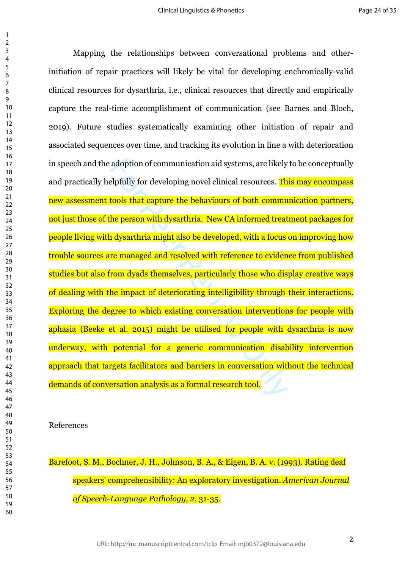adoption of communication aid systems, are likely<br>elpfully for developing novel clinical resources. Th<br>tools that capture the behaviours of both commu<br>he person with dysarthria. New CA informed treat<br>dysarthria might also Mapping the relationships between conversational problems and otherinitiation of repair practices will likely be vital for developing enchronically-valid clinical resources for dysarthria, i.e., clinical resources that directly and empirically capture the real-time accomplishment of communication (see Barnes and Bloch, 2019). Future studies systematically examining other initiation of repair and associated sequences over time, and tracking its evolution in line a with deterioration in speech and the adoption of communication aid systems, are likely to be conceptually and practically helpfully for developing novel clinical resources. This may encompass new assessment tools that capture the behaviours of both communication partners, not just those of the person with dysarthria. New CA informed treatment packages for people living with dysarthria might also be developed, with a focus on improving how trouble sources are managed and resolved with reference to evidence from published studies but also from dyads themselves, particularly those who display creative ways of dealing with the impact of deteriorating intelligibility through their interactions. Exploring the degree to which existing conversation interventions for people with aphasia (Beeke et al. 2015) might be utilised for people with dysarthria is now underway, with potential for a generic communication disability intervention approach that targets facilitators and barriers in conversation without the technical demands of conversation analysis as a formal research tool.

#### References

 $\mathbf{1}$  $\overline{2}$  $\overline{3}$  $\overline{4}$  $\overline{7}$ 

Barefoot, S. M., Bochner, J. H., Johnson, B. A., & Eigen, B. A. v. (1993). Rating deaf speakers' comprehensibility: An exploratory investigation. *American Journal of Speech-Language Pathology, 2*, 31-35.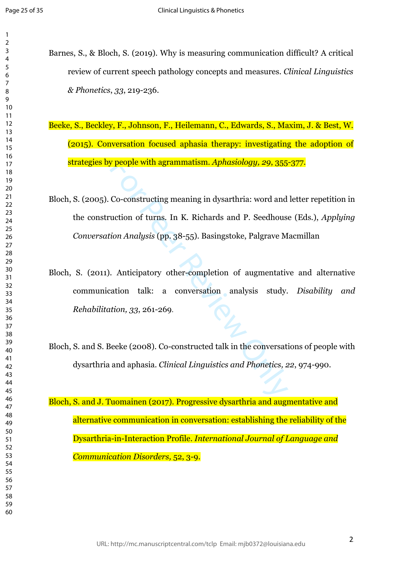$\mathbf{1}$  $\overline{2}$  $\overline{3}$  $\overline{4}$  $\overline{7}$ 

Barnes, S., & Bloch, S. (2019). Why is measuring communication difficult? A critical review of current speech pathology concepts and measures. *Clinical Linguistics & Phonetics* , *33*, 219-236.

Beeke, S., Beckley, F., Johnson, F., Heilemann, C., Edwards, S., Maxim, J. & Best, W. (2015). Conversation focused aphasia therapy: investigating the adoption of strategies by people with agrammatism. *Aphasiology, 29*, 355-377.

- **Example with agrammatism. Aphasiology, 29, 355**<br>Co-constructing meaning in dysarthria: word and<br>uction of turns. In K. Richards and P. Seedhouss<br>ion Analysis (pp. 38-55). Basingstoke, Palgrave M<br>. Anticipatory other-compl Bloch, S. (2005). Co-constructing meaning in dysarthria: word and letter repetition in the construction of turns. In K. Richards and P. Seedhouse (Eds.), *Applying Conversation Analysis* (pp. 38-55). Basingstoke, Palgrave Macmillan
- Bloch, S. (2011). Anticipatory other-completion of augmentative and alternative communication talk: a conversation analysis study. *Disability and Rehabilitation, 33*, 261-269 .
- Bloch, S. and S. Beeke (2008). Co-constructed talk in the conversations of people with dysarthria and aphasia. *Clinical Linguistics and Phonetics, 22*, 974-990.

Bloch, S. and J. Tuomainen (2017). Progressive dysarthria and augmentative and alternative communication in conversation: establishing the reliability of the Dysarthria-in-Interaction Profile. *International Journal of Language and Communication Disorders,* 52, 3-9.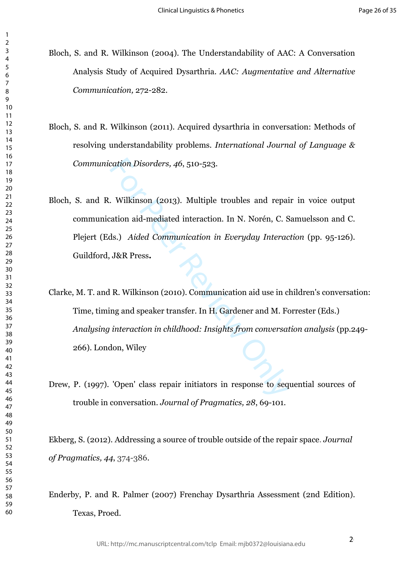- Bloch, S. and R. Wilkinson (2004). The Understandability of AAC: A Conversation Analysis Study of Acquired Dysarthria. *AAC: Augmentative and Alternative Communication,* 272-282.
- Bloch, S. and R. Wilkinson (2011). Acquired dysarthria in conversation: Methods of resolving understandability problems. *International Journal of Language & Communication Disorders, 46*, 510-523.
- cation Disorders, 46, 510-523.<br>
Wilkinson (2013). Multiple troubles and reparation aid-mediated interaction. In N. Norén, C. S.<br>
18.) Aided Communication in Everyday Interaction.<br>
J&R Press.<br>
R. Wilkinson (2010). Communica Bloch, S. and R. Wilkinson (2013). Multiple troubles and repair in voice output communication aid-mediated interaction. In N. Norén, C. Samuelsson and C. Plejert (Eds.) *Aided Communication in Everyday Interaction* (pp. 95-126). Guildford, J&R Press **.**
- Clarke, M. T. and R. Wilkinson (2010). Communication aid use in children's conversation: Time, timing and speaker transfer. In H. Gardener and M. Forrester (Eds.) *Analysing interaction in childhood: Insights from conversation analysis* (pp.249- 266). London, Wiley
- Drew, P. (1997). 'Open' class repair initiators in response to sequential sources of trouble in conversation. *Journal of Pragmatics, 28*, 69-101.

Ekberg, S. (2012). Addressing a source of trouble outside of the repair space. *Journal of Pragmatics, 44* , 374-386 .

Enderby, P. and R. Palmer (2007) Frenchay Dysarthria Assessment (2nd Edition). Texas, Proed.

 $\mathbf{1}$  $\overline{2}$  $\overline{3}$  $\overline{4}$  $\overline{7}$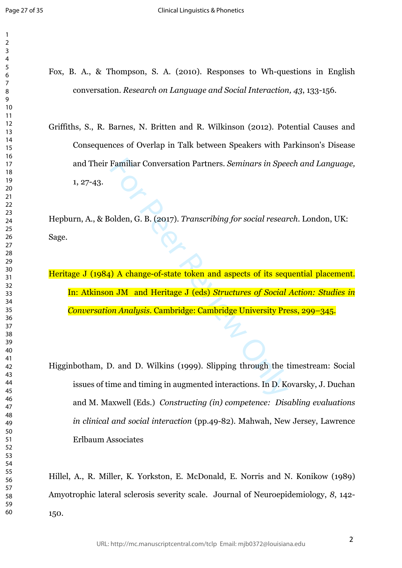$\mathbf{1}$  $\overline{2}$  $\overline{3}$ 

- $\overline{4}$  $\overline{7}$
- Fox, B. A., & Thompson, S. A. (2010). Responses to Wh-questions in English conversation. *Research on Language and Social Interaction, 43*, 133-156.
- Griffiths, S., R. Barnes, N. Britten and R. Wilkinson (2012). Potential Causes and Consequences of Overlap in Talk between Speakers with Parkinson's Disease and Their Familiar Conversation Partners. *Seminars in Speech and Language,* 1, 27-43.

Hepburn, A., & Bolden, G. B. (2017). *Transcribing for social research*. London, UK: Sage.

Familiar Conversation Partners. *Seminars in Spee*<br>
olden, G. B. (2017). *Transcribing for social resear*<br>
...) A change-of-state token and aspects of its seq<br>
...) A change-of-state token and aspects of its seq<br>
...) A ch Heritage J (1984) A change-of-state token and aspects of its sequential placement. In: Atkinson JM and Heritage J (eds) *Structures of Social Action: Studies in Conversation Analysis*. Cambridge: Cambridge University Press, 299–345.

Higginbotham, D. and D. Wilkins (1999). Slipping through the timestream: Social issues of time and timing in augmented interactions. In D. Kovarsky, J. Duchan and M. Maxwell (Eds.) *Constructing (in) competence: Disabling evaluations in clinical and social interaction* (pp.49-82). Mahwah, New Jersey, Lawrence Erlbaum Associates

Hillel, A., R. Miller, K. Yorkston, E. McDonald, E. Norris and N. Konikow (1989) Amyotrophic lateral sclerosis severity scale. Journal of Neuroepidemiology, *8*, 142- 150.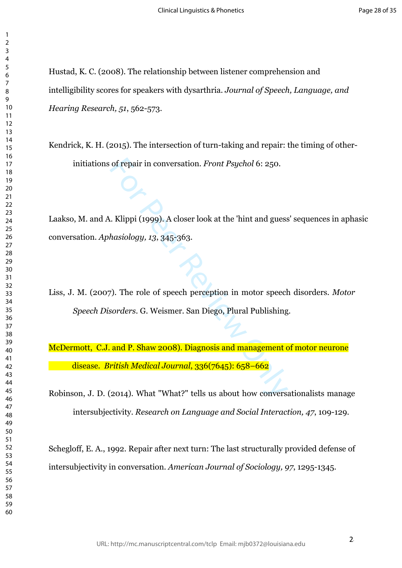Hustad, K. C. (2008). The relationship between listener comprehension and intelligibility scores for speakers with dysarthria. *Journal of Speech, Language, and Hearing Research, 51*, 562-573.

Kendrick, K. H. (2015). The intersection of turn-taking and repair: the timing of otherinitiations of repair in conversation. *Front Psychol* 6: 250.

of repair in conversation. *Front Psychol* 6: 250.<br>
...<br>
Klippi (1999). A closer look at the 'hint and guess<br>
hasiology, 13, 345-363.<br>
..<br>
..). The role of speech perception in motor speech<br>
sorders. G. Weismer. San Diego, Laakso, M. and A. Klippi (1999). A closer look at the 'hint and guess' sequences in aphasic conversation. *Aphasiology, 13*, 345-363.

Liss, J. M. (2007). The role of speech perception in motor speech disorders. *Motor Speech Disorders*. G. Weismer. San Diego, Plural Publishing.

McDermott, C.J. and P. Shaw 2008). Diagnosis and management of motor neurone disease. *British Medical Journal*, 336(7645): 658–662

Robinson, J. D. (2014). What "What?" tells us about how conversationalists manage intersubjectivity. *Research on Language and Social Interaction, 47*, 109-129.

Schegloff, E. A., 1992. Repair after next turn: The last structurally provided defense of intersubjectivity in conversation. *American Journal of Sociology, 97*, 1295-1345.

 $\mathbf{1}$  $\overline{2}$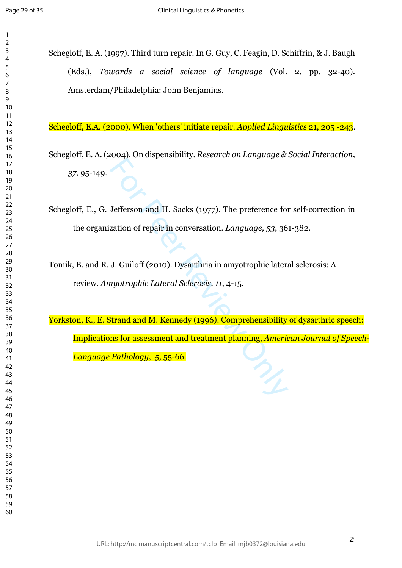$\mathbf{1}$  $\overline{2}$  $\overline{4}$ 

Schegloff, E. A. (1997). Third turn repair. In G. Guy, C. Feagin, D. Schiffrin, & J. Baugh (Eds.), *Towards a social science of language* (Vol. 2, pp. 32-40). Amsterdam/Philadelphia: John Benjamins.

Schegloff, E.A. (2000). When 'others' initiate repair. *Applied Linguistics* 21, 205 -243.

Schegloff, E. A. (2004). On dispensibility. *Research on Language & Social Interaction,*  , 95-149.

Schegloff, E., G. Jefferson and H. Sacks (1977). The preference for self-correction in the organization of repair in conversation. *Language, 53*, 361-382.

Jefferson and H. Sacks (1977). The preference for<br>aztion of repair in conversation. *Language*, 53, 36<br>J. Guiloff (2010). Dysarthria in amyotrophic latera<br>nyotrophic Lateral Sclerosis, 11, 4-15.<br>Strand and M. Kennedy (1996 Tomik, B. and R. J. Guiloff (2010). Dysarthria in amyotrophic lateral sclerosis: A review. *Amyotrophic Lateral Sclerosis, 11*, 4-15.

Yorkston, K., E. Strand and M. Kennedy (1996). Comprehensibility of dysarthric speech:

Implications for assessment and treatment planning, *American Journal of Speech-*

*Language Pathology*, *5,* 55-66.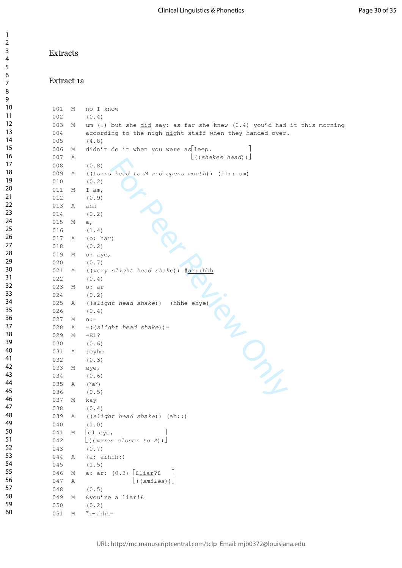## Extracts

## Extract 1a

| 001        | Μ           | no I know                                                               |
|------------|-------------|-------------------------------------------------------------------------|
| 002        |             | (0.4)                                                                   |
| 003        | Μ           | um (.) but she did say: as far she knew (0.4) you'd had it this morning |
| 004        |             | according to the nigh-night staff when they handed over.                |
| 005        |             | (4.8)                                                                   |
| 006        | Μ           | didn't do it when you were as leep.                                     |
| 007        | Α           | $\lfloor$ ((shakes head))                                               |
| 008        |             | (0.8)                                                                   |
| 009        | Α           | ((turns head to M and opens mouth)) (#I:: um)                           |
| 010        |             | (0.2)                                                                   |
| 011        | Μ           | I am,                                                                   |
| 012        |             | (0.9)                                                                   |
| 013        | Α           | ahh                                                                     |
| 014        |             | (0.2)                                                                   |
| 015        | Μ           | $a_{I}$                                                                 |
| 016        |             | (1.4)                                                                   |
| 017        | Α           | (o: har)                                                                |
| 018        |             | (0.2)                                                                   |
| 019        | Μ           | o: aye,                                                                 |
| 020        |             | (0.7)                                                                   |
| 021        | Α           | ((very slight head shake)) #ar::hhh                                     |
| 022        |             | (0.4)                                                                   |
| 023        | Μ           | o: ar                                                                   |
| 024        |             | (0.2)                                                                   |
| 025        | Α           | ((slight head shake))<br>(hhhe ehye)                                    |
| 026        |             | (0.4)                                                                   |
| 027        | М           | $\circ$ : =                                                             |
| 028        | Α           | $= ((slight head share)) =$                                             |
| 029        | Μ           | $=$ EL?                                                                 |
| 030        |             | (0.6)                                                                   |
| 031        | Α           | #eyhe                                                                   |
| 032        |             | (0.3)                                                                   |
| 033        | Μ           | eye,                                                                    |
| 034        |             | (0.6)                                                                   |
| 035        | Α           | $(^{\circ}a^{\circ})$                                                   |
| 036        |             | (0.5)                                                                   |
| 037        | М           | kay                                                                     |
| 038        |             | (0.4)                                                                   |
| 039        | Α           | ((slight head shake)) (ah::)                                            |
| 040        |             | (1.0)                                                                   |
| 041        | $\mathbb M$ | e1 eye,<br>$\lfloor$ ((moves closer to A))                              |
| 042<br>043 |             |                                                                         |
| 044        | Α           | (0.7)<br>(a: arhhh:                                                     |
| 045        |             | (1.5)                                                                   |
|            |             | a: ar: $(0.3)$ $\lceil \underline{\text{flar}} \rceil$ £                |
| 046<br>047 | М<br>Α      | $\lfloor$ ((smiles))                                                    |
| 048        |             | (0.5)                                                                   |
| 049        | М           | £you're a liar!£                                                        |
| 050        |             | (0.2)                                                                   |
| 051        | Μ           | $^{\circ}$ h-.hhh=                                                      |
|            |             |                                                                         |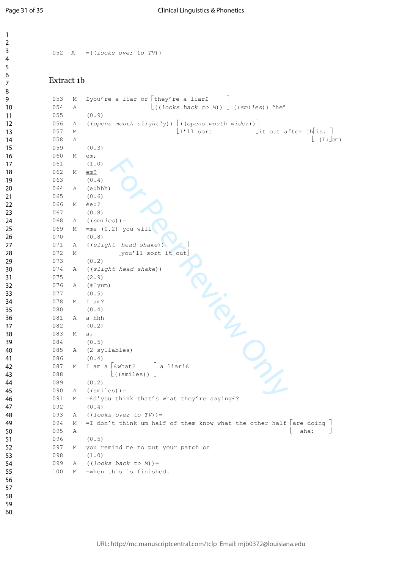$\mathbf{1}$  $\overline{2}$  $\overline{3}$  $\overline{4}$ 

052 A A =((*looks over to TV*))

#### Extract 1b

```
123456789
\overline{7}8
9
               053
                                                                        \overline{\phantom{a}}M   £you're a liar or |they're a liar£
               054
10
                     A 
                                                ((looks back to M)) 
 ((smiles)) 
he

11
               055 (0.9)
               056
12
                      A ((opens mouth slightly)) 
((opens mouth wider))

                                                       I'll sort 
13
               057
                                                                                  it out after th
is. 

                     M 
14
               058 A 
                                                                                                     [ (I:<u>J</u>em)
               059 (0.3)
15
               060
                     M em,
16
                                  For Peer Review Only 11 Peer Review Only 2013<br>
The Read shake)<br>
Lyou'll sort it out<br>
the head shake)<br>
the head shake)<br>
(string)<br>
(string)<br>
(string)<br>
(string)<br>
(string)<br>
(string)<br>
(string)<br>
(string)<br>
(string)<br>
(string)<br>
(st
17
               061 (1.0)
18
               062
                     M em?
19
               063 (0.4)
20
               064
                     A (e:hhh)
21
               065 (0.6)
               066
                     M ee:?
22
23
               067 (0.8)
               068
                     A ((smiles))=
24
25
               069
                    M =me (0.2) you will
26
               070 (0.8)
               071
27
                      A ((slight 
head shake)) 
                                                           \overline{\phantom{a}}28
               072
                     M 
                                     you'll sort it out

29
               073 (0.2)
               074
30
                     A ((slight head shake))
               075 (2.9)
31
               076
32
                     A (#Iyum)
33
               077 (0.5)
34
               078
                     M I am?
               080 (0.4)
35
36
               081
                     A a-hhh
               082 (0.2)
37
               083
38
                     M a,
               084 (0.5)
39
40
               085
                     A (2 syllables)
41
               086 (0.4)
                                                 a liar!£
               087
42
                      M I am a 
£what? 
43
               088 
                                   ((smiles)) 

               089 (0.2)
44
45
               090
                     A ((smiles)) =
               091
                     M =£d'you think that's what they're saying£?
46
47
               092 (0.4)
48
               093
                     A ((looks over to TV))=
               094
49
                      M =I don't think um half of them know what the other half are doing |50
               095
                     A 
                                                                                              aha: 
                                                                                                          \perp51
               096 (0.5)
               097
52
                     M you remind me to put your patch on
               098 (1.0)
53
54
               099
                     A ((looks back to M))=
55
               100
                     M =when this is finished.
56
```
- 
- 
-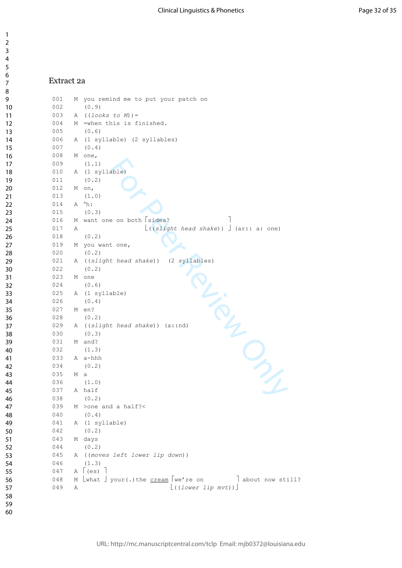#### Extract 2a

 $\mathbf{1}$  $\overline{2}$  $\overline{3}$  $\overline{4}$  $\overline{7}$ 

| 001        |     | M you remind me to put your patch on                       |
|------------|-----|------------------------------------------------------------|
| 002        |     | (0.9)                                                      |
| 003        |     | A $((\text{ looks to } M)) =$                              |
| 004<br>005 |     | M =when this is finished.                                  |
|            |     | (0.6)                                                      |
| 006        |     | A (1 syllable) (2 syllables)                               |
| 007        |     | (0.4)                                                      |
| 008<br>009 |     | M one,                                                     |
| 010        |     | (1.1)<br>A (1 syllable)                                    |
| 011        |     | (0.2)                                                      |
| 012        |     |                                                            |
| 013        |     | M on,<br>(1.0)                                             |
| 014        |     | A °h:                                                      |
| 015        |     | (0.3)                                                      |
| 016        |     | M want one on both sides?                                  |
| 017        | Α   | $\lfloor$ ((slight head shake)) $\rfloor$ (ar:: a: one)    |
| 018        |     | (0.2)                                                      |
| 019        |     | M you want one,                                            |
| 020        |     | (0.2)                                                      |
| 021        |     | A ((slight head shake)) (2 syllables)                      |
| 022        |     | (0.2)                                                      |
| 023        |     | M one                                                      |
| 024        |     | (0.6)                                                      |
| 025        |     | A (1 syllable)                                             |
| 026        |     | (0.4)                                                      |
| 027        |     | M en?                                                      |
| 028        |     | (0.2)                                                      |
| 029        |     | A ((slight head shake)) (a::nd)                            |
| 030        |     | (0.3)                                                      |
| 031        |     | M and?                                                     |
| 032        |     | (1.3)                                                      |
| 033        |     | A a-hhh                                                    |
| 034        |     | (0.2)                                                      |
| 035        | M a |                                                            |
| 036        |     | (1.0)                                                      |
| 037        |     | A half                                                     |
| 038        |     | (0.2)                                                      |
| 039        |     | M >one and a half?<                                        |
| 040        |     | (0.4)                                                      |
| 041        |     | A (1 syllable)                                             |
| 042        |     | (0.2)                                                      |
| 043        |     | M days                                                     |
| 044        |     | (0.2)                                                      |
| 045        |     | A ((moves left lower lip down))                            |
| 046        |     | (1.3)                                                      |
| 047        |     | $A \t[ (es) ]$                                             |
| 048        |     | M [what ] your (.) the cream [we're on<br>about now still? |
| 049        | Α   | $\lfloor$ ((lower lip mvt))]                               |
|            |     |                                                            |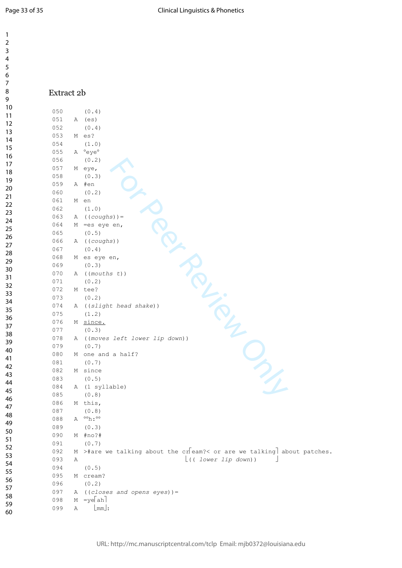$\mathbf{1}$  $\overline{2}$ 

| $\mathbf{1}$            |                                                                               |
|-------------------------|-------------------------------------------------------------------------------|
| $\overline{\mathbf{c}}$ |                                                                               |
| 3                       |                                                                               |
| 4                       |                                                                               |
|                         |                                                                               |
| $\frac{5}{6}$           |                                                                               |
| $\overline{7}$          |                                                                               |
| 8                       | Extract 2b                                                                    |
| 9                       |                                                                               |
| $10\,$                  |                                                                               |
| 11                      | 050<br>(0.4)                                                                  |
| 12                      | 051<br>A (es)                                                                 |
| 13                      | 052<br>(0.4)                                                                  |
| 14                      | 053<br>M es?                                                                  |
| 15                      | 054<br>(1.0)                                                                  |
| 16                      | 055<br>A °eye°                                                                |
| 17                      | 056<br>(0.2)                                                                  |
|                         | 057<br>$M$ eye,                                                               |
| 18                      | 058<br>(0.3)                                                                  |
| 19                      | 059<br>A #en                                                                  |
| 20                      | 060<br>(0.2)                                                                  |
| 21                      | 061<br>M en                                                                   |
| 22                      | 062<br>(1.0)                                                                  |
| 23                      | 063<br>$A ((coughs)) =$                                                       |
| 24                      | 064<br>M =es eye en,                                                          |
| 25                      | 065<br>(0.5)                                                                  |
| 26                      | 066<br>A ((coughs))                                                           |
| 27                      | 067<br>(0.4)                                                                  |
| 28                      | 068<br>M es eye en,                                                           |
| 29                      | 069<br>(0.3)                                                                  |
| 30                      | 070                                                                           |
| 31                      | A ((mouths t))                                                                |
| 32                      | 071<br>(0.2)<br>072                                                           |
| 33                      | M tee?                                                                        |
| 34                      | 073<br>(0.2)                                                                  |
| 35                      | 074<br>A ((slight head shake))                                                |
| 36                      | 075<br>(1.2)                                                                  |
| 37                      | 076<br>M since.                                                               |
| 38                      | 077<br>(0.3)                                                                  |
| 39                      | 078<br>A ((moves left lower lip down))                                        |
| 40                      | 079<br>(0.7)                                                                  |
| 41                      | 080<br>M one and a half?                                                      |
| 42                      | 081<br>(0.7)                                                                  |
| 43                      | $\frac{1}{2}$<br>082<br>M since                                               |
| 44                      | 083<br>(0.5)                                                                  |
| 45                      | 084<br>A (1 syllable)                                                         |
| 46                      | 085<br>(0.8)                                                                  |
|                         | 086<br>M this,                                                                |
| 47                      | 087<br>(0.8)                                                                  |
| 48                      | $\circ \circ h :$<br>088<br>A                                                 |
| 49                      | 089<br>(0.3)                                                                  |
| 50                      | 090<br>M #no?#                                                                |
| 51                      | 091<br>(0.7)                                                                  |
| 52                      | M >#are we talking about the cr eam?< or are we talking about patches.<br>092 |
| 53                      | $\lfloor$ (( lower lip down))<br>093<br>A                                     |
| 54                      | 094<br>(0.5)                                                                  |
| 55                      | 095<br>M cream?                                                               |
| 56                      | 096<br>(0.2)                                                                  |
| 57                      |                                                                               |
| 58                      | 097<br>A ((closes and opens eyes)) =                                          |
| 59                      | $M = ye \boxed{ah}$<br>098                                                    |
| 60                      | $\lfloor$ mm $\rfloor$ :<br>099<br>$\mathbb A$                                |
|                         |                                                                               |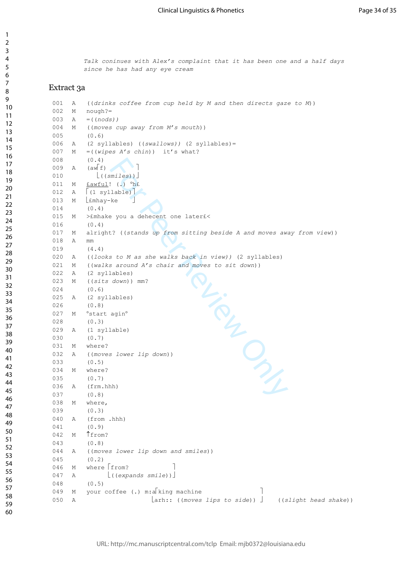*Talk coninues with Alex's complaint that it has been one and a half days since he has had any eye cream*

#### Extract 3a

 $\mathbf{1}$  $\overline{2}$  $\overline{3}$  $\overline{4}$  $\overline{7}$  $\overline{9}$ 

| 001        | А           | ((drinks coffee from cup held by M and then directs gaze to M))       |
|------------|-------------|-----------------------------------------------------------------------|
| 002        | М           | nough?=                                                               |
| 003        | A           | $= (nods)$                                                            |
| 004        | М           | ((moves cup away from M's mouth))                                     |
| 005        |             | (0.6)                                                                 |
| 006        | Α           | $(2 syllables)$ $((swallows))$ $(2 syllables) =$                      |
| 007        | М           | $= ((wipes A's chin))$ it's what?                                     |
| 008        |             | (0.4)                                                                 |
| 009        | Α           | (awf)                                                                 |
| 010        |             | $\lfloor$ ((smiles))                                                  |
| 011        | М           | £awful! (.) <sup>o</sup> h£                                           |
| 012        | А           | (1 syllable)                                                          |
| 013        | М           | $Lm$ hay-ke                                                           |
| 014        |             | (0.4)                                                                 |
| 015        | М           | >£mhake you a dehecent one later£<                                    |
| 016        |             | (0.4)                                                                 |
| 017        | М           | alright? ((stands up from sitting beside A and moves away from view)) |
| 018        | Α           | mm                                                                    |
| 019        |             | (4.4)                                                                 |
| 020        | Α           | ((looks to M as she walks back in view)) (2 syllables)                |
| 021        | М           | ((walks around A's chair and moves to sit down))                      |
| 022        | A           | (2 syllables)                                                         |
| 023        | М           | $((sits down))$ mm?                                                   |
| 024        |             | (0.6)                                                                 |
| 025        | Α           | (2 syllables)                                                         |
| 026        |             | (0.8)                                                                 |
| 027        | М           | °start agin°                                                          |
| 028        |             | (0.3)                                                                 |
| 029        | Α           | (1 syllable)                                                          |
| 030        |             | (0.7)                                                                 |
| 031        | М           | where?                                                                |
| 032        | Α           | ((moves lower lip down))                                              |
| 033        |             | (0.5)                                                                 |
| 034        | М           | where?                                                                |
| 035        |             | (0.7)                                                                 |
| 036        | Α           | (frm.hhh)                                                             |
| 037        |             | (0.8)                                                                 |
| 038        | $M_{\odot}$ | where,                                                                |
| 039        |             | (0.3)                                                                 |
| 040        | Α           | (from .hhh)                                                           |
| 041        |             | (0.9)                                                                 |
| 042        | М           | Tfrom?                                                                |
| 043        |             | (0.8)                                                                 |
| 044        | А           | ((moves lower lip down and smiles))                                   |
| 045        |             | (0.2)                                                                 |
| 046        | М           | where $ from?$                                                        |
| 047        | Α           | $\lfloor$ ((expands smile))                                           |
| 048<br>049 |             | (0.5)<br>your coffee (.) m:a king machine                             |
| 050        | М           | $larh:$ ((moves lips to side)) $\rfloor$<br>((slight head shake))     |
|            | Α           |                                                                       |